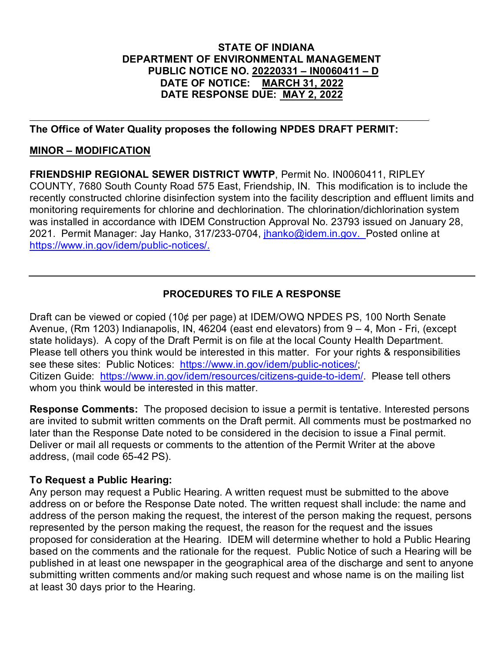## **STATE OF INDIANA DEPARTMENT OF ENVIRONMENTAL MANAGEMENT PUBLIC NOTICE NO. 20220331 – IN0060411 – D DATE OF NOTICE: MARCH 31, 2022 DATE RESPONSE DUE: MAY 2, 2022**

# **The Office of Water Quality proposes the following NPDES DRAFT PERMIT:**

,他们的人们就是一个人的人,他们的人们就是一个人的人,他们的人们就是一个人的人,他们的人们就是一个人的人,他们的人们就是一个人的人,他们的人们就是一个人的人,他们

# **MINOR – MODIFICATION**

**FRIENDSHIP REGIONAL SEWER DISTRICT WWTP**, Permit No. IN0060411, RIPLEY COUNTY, 7680 South County Road 575 East, Friendship, IN. This modification is to include the recently constructed chlorine disinfection system into the facility description and effluent limits and monitoring requirements for chlorine and dechlorination. The chlorination/dichlorination system was installed in accordance with IDEM Construction Approval No. 23793 issued on January 28, 2021. Permit Manager: Jay Hanko, 317/233-0704, [jhanko@idem.in.gov.](mailto:jhanko@idem.in.gov) Posted online at [https://www.in.gov/idem/public-notices/.](https://www.in.gov/idem/public-notices/)

# **PROCEDURES TO FILE A RESPONSE**

Draft can be viewed or copied (10¢ per page) at IDEM/OWQ NPDES PS, 100 North Senate Avenue, (Rm 1203) Indianapolis, IN, 46204 (east end elevators) from 9 – 4, Mon - Fri, (except state holidays). A copy of the Draft Permit is on file at the local County Health Department. Please tell others you think would be interested in this matter. For your rights & responsibilities see these sites: Public Notices: [https://www.in.gov/idem/public-notices/;](https://www.in.gov/idem/public-notices/) Citizen Guide: [https://www.in.gov/idem/resources/citizens-guide-to-idem/.](https://www.in.gov/idem/resources/citizens-guide-to-idem/) Please tell others whom you think would be interested in this matter.

**Response Comments:** The proposed decision to issue a permit is tentative. Interested persons are invited to submit written comments on the Draft permit. All comments must be postmarked no later than the Response Date noted to be considered in the decision to issue a Final permit. Deliver or mail all requests or comments to the attention of the Permit Writer at the above address, (mail code 65-42 PS).

### **To Request a Public Hearing:**

Any person may request a Public Hearing. A written request must be submitted to the above address on or before the Response Date noted. The written request shall include: the name and address of the person making the request, the interest of the person making the request, persons represented by the person making the request, the reason for the request and the issues proposed for consideration at the Hearing. IDEM will determine whether to hold a Public Hearing based on the comments and the rationale for the request. Public Notice of such a Hearing will be published in at least one newspaper in the geographical area of the discharge and sent to anyone submitting written comments and/or making such request and whose name is on the mailing list at least 30 days prior to the Hearing.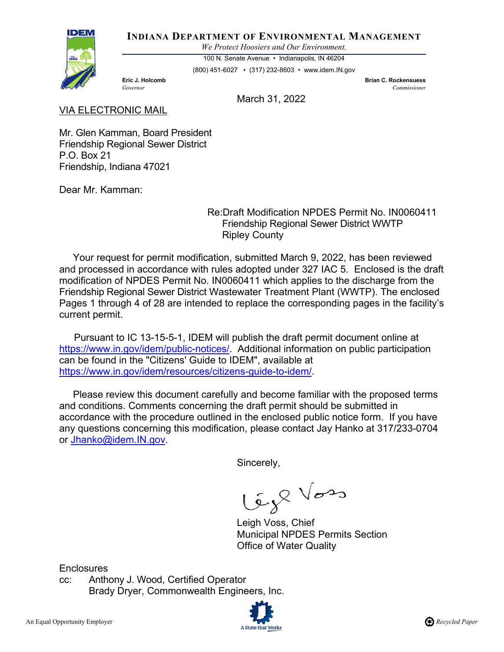

**INDIANA DEPARTMENT OF ENVIRONMENTAL MANAGEMENT**

*We Protect Hoosiers and Our Environment.*

100 N. Senate Avenue • Indianapolis, IN 46204

(800) 451-6027 • (317) 232-8603 • www.idem.IN.gov

**Eric J. Holcomb Brian C. Rockensuess** *Governor Commissioner* 

March 31, 2022

VIA ELECTRONIC MAIL

Mr. Glen Kamman, Board President Friendship Regional Sewer District P.O. Box 21 Friendship, Indiana 47021

Dear Mr. Kamman:

 Re:Draft Modification NPDES Permit No. IN0060411 Friendship Regional Sewer District WWTP Ripley County

 Your request for permit modification, submitted March 9, 2022, has been reviewed and processed in accordance with rules adopted under 327 IAC 5. Enclosed is the draft modification of NPDES Permit No. IN0060411 which applies to the discharge from the Friendship Regional Sewer District Wastewater Treatment Plant (WWTP). The enclosed Pages 1 through 4 of 28 are intended to replace the corresponding pages in the facility's current permit.

Pursuant to IC 13-15-5-1, IDEM will publish the draft permit document online at [https://www.in.gov/idem/public-notices/.](https://www.in.gov/idem/public-notices/) Additional information on public participation can be found in the "Citizens' Guide to IDEM", available at [https://www.in.gov/idem/resources/citizens-guide-to-idem/.](https://www.in.gov/idem/resources/citizens-guide-to-idem/)

 Please review this document carefully and become familiar with the proposed terms and conditions. Comments concerning the draft permit should be submitted in accordance with the procedure outlined in the enclosed public notice form. If you have any questions concerning this modification, please contact Jay Hanko at 317/233-0704 or Jhanko@idem.IN.gov.

Sincerely,

Lég<sup>& Vos</sup>

Leigh Voss, Chief Municipal NPDES Permits Section Office of Water Quality

**Enclosures** 

cc: Anthony J. Wood, Certified Operator Brady Dryer, Commonwealth Engineers, Inc.

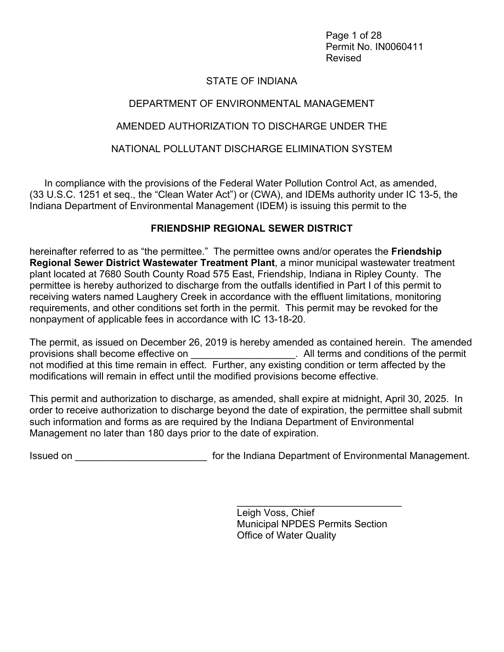Page 1 of 28 Permit No. IN0060411 Revised

## STATE OF INDIANA

# DEPARTMENT OF ENVIRONMENTAL MANAGEMENT

# AMENDED AUTHORIZATION TO DISCHARGE UNDER THE

# NATIONAL POLLUTANT DISCHARGE ELIMINATION SYSTEM

In compliance with the provisions of the Federal Water Pollution Control Act, as amended, (33 U.S.C. 1251 et seq., the "Clean Water Act") or (CWA), and IDEMs authority under IC 13-5, the Indiana Department of Environmental Management (IDEM) is issuing this permit to the

# **FRIENDSHIP REGIONAL SEWER DISTRICT**

hereinafter referred to as "the permittee." The permittee owns and/or operates the **Friendship Regional Sewer District Wastewater Treatment Plant**, a minor municipal wastewater treatment plant located at 7680 South County Road 575 East, Friendship, Indiana in Ripley County. The permittee is hereby authorized to discharge from the outfalls identified in Part I of this permit to receiving waters named Laughery Creek in accordance with the effluent limitations, monitoring requirements, and other conditions set forth in the permit. This permit may be revoked for the nonpayment of applicable fees in accordance with IC 13-18-20.

The permit, as issued on December 26, 2019 is hereby amended as contained herein. The amended provisions shall become effective on \_\_\_\_\_\_\_\_\_\_\_\_\_\_\_\_\_\_\_\_\_. All terms and conditions of the permit not modified at this time remain in effect. Further, any existing condition or term affected by the modifications will remain in effect until the modified provisions become effective.

This permit and authorization to discharge, as amended, shall expire at midnight, April 30, 2025. In order to receive authorization to discharge beyond the date of expiration, the permittee shall submit such information and forms as are required by the Indiana Department of Environmental Management no later than 180 days prior to the date of expiration.

Issued on **Interprettive Connect Act Connect** for the Indiana Department of Environmental Management.

\_\_\_\_\_\_\_\_\_\_\_\_\_\_\_\_\_\_\_\_\_\_\_\_\_\_\_\_\_\_ Leigh Voss, Chief Municipal NPDES Permits Section Office of Water Quality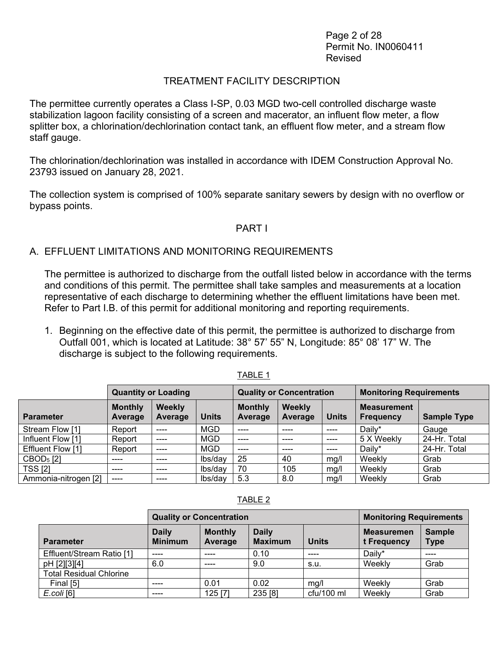Page 2 of 28 Permit No. IN0060411 Revised

### TREATMENT FACILITY DESCRIPTION

The permittee currently operates a Class I-SP, 0.03 MGD two-cell controlled discharge waste stabilization lagoon facility consisting of a screen and macerator, an influent flow meter, a flow splitter box, a chlorination/dechlorination contact tank, an effluent flow meter, and a stream flow staff gauge.

The chlorination/dechlorination was installed in accordance with IDEM Construction Approval No. 23793 issued on January 28, 2021.

The collection system is comprised of 100% separate sanitary sewers by design with no overflow or bypass points.

### PART I

### A. EFFLUENT LIMITATIONS AND MONITORING REQUIREMENTS

The permittee is authorized to discharge from the outfall listed below in accordance with the terms and conditions of this permit. The permittee shall take samples and measurements at a location representative of each discharge to determining whether the effluent limitations have been met. Refer to Part I.B. of this permit for additional monitoring and reporting requirements.

1. Beginning on the effective date of this permit, the permittee is authorized to discharge from Outfall 001, which is located at Latitude: 38° 57' 55" N, Longitude: 85° 08' 17" W. The discharge is subject to the following requirements.

|                       | <b>Quantity or Loading</b> |                   |              | <b>Quality or Concentration</b> |                   |                       | <b>Monitoring Requirements</b>         |                    |
|-----------------------|----------------------------|-------------------|--------------|---------------------------------|-------------------|-----------------------|----------------------------------------|--------------------|
| <b>Parameter</b>      | <b>Monthly</b><br>Average  | Weekly<br>Average | <b>Units</b> | <b>Monthly</b><br>Average       | Weekly<br>Average | <b>Units</b>          | <b>Measurement</b><br><b>Frequency</b> | <b>Sample Type</b> |
| Stream Flow [1]       | Report                     | ----              | <b>MGD</b>   | ----                            | ----              | ----                  | Daily*                                 | Gauge              |
| Influent Flow [1]     | Report                     | ----              | <b>MGD</b>   | ----                            | ----              | ----                  | 5 X Weekly                             | 24-Hr. Total       |
| Effluent Flow [1]     | Report                     | ----              | <b>MGD</b>   | ----                            | ----              | $\qquad \qquad - - -$ | Daily*                                 | 24-Hr. Total       |
| CBOD <sub>5</sub> [2] | ----                       | ----              | lbs/day      | 25                              | 40                | mq/l                  | Weekly                                 | Grab               |
| <b>TSS [2]</b>        | ----                       | ----              | lbs/day      | 70                              | 105               | mq/l                  | Weekly                                 | Grab               |
| Ammonia-nitrogen [2]  | ----                       | ----              | lbs/day      | 5.3                             | 8.0               | mq/l                  | Weekly                                 | Grab               |

#### TABLE 1

#### TABLE 2

|                                | <b>Quality or Concentration</b> |                           |                                |              | <b>Monitoring Requirements</b>   |                              |
|--------------------------------|---------------------------------|---------------------------|--------------------------------|--------------|----------------------------------|------------------------------|
| <b>Parameter</b>               | <b>Daily</b><br><b>Minimum</b>  | <b>Monthly</b><br>Average | <b>Daily</b><br><b>Maximum</b> | <b>Units</b> | <b>Measuremen</b><br>t Frequency | <b>Sample</b><br><b>Type</b> |
| Effluent/Stream Ratio [1]      | ----                            |                           | 0.10                           |              | Daily*                           | -----                        |
| pH [2][3][4]                   | 6.0                             | ----                      | 9.0                            | S.U.         | Weekly                           | Grab                         |
| <b>Total Residual Chlorine</b> |                                 |                           |                                |              |                                  |                              |
| Final [5]                      | ----                            | 0.01                      | 0.02                           | mq/l         | Weekly                           | Grab                         |
| $E.$ coli [6]                  | ----                            | 125 [7]                   | 235 [8]                        | cfu/100 ml   | Weekly                           | Grab                         |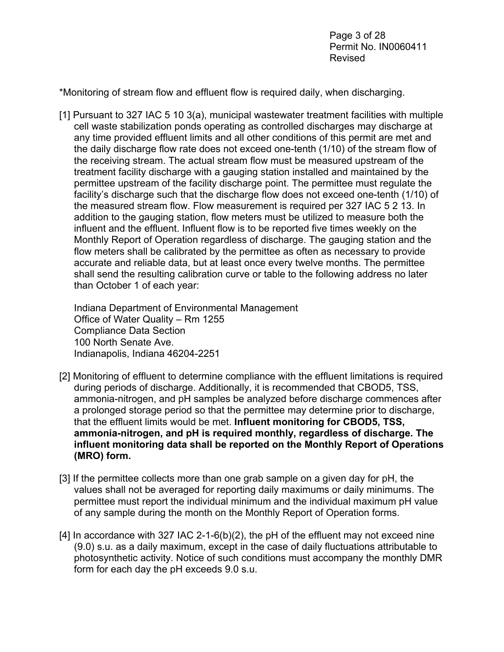\*Monitoring of stream flow and effluent flow is required daily, when discharging.

[1] Pursuant to 327 IAC 5 10 3(a), municipal wastewater treatment facilities with multiple cell waste stabilization ponds operating as controlled discharges may discharge at any time provided effluent limits and all other conditions of this permit are met and the daily discharge flow rate does not exceed one-tenth (1/10) of the stream flow of the receiving stream. The actual stream flow must be measured upstream of the treatment facility discharge with a gauging station installed and maintained by the permittee upstream of the facility discharge point. The permittee must regulate the facility's discharge such that the discharge flow does not exceed one-tenth (1/10) of the measured stream flow. Flow measurement is required per 327 IAC 5 2 13. In addition to the gauging station, flow meters must be utilized to measure both the influent and the effluent. Influent flow is to be reported five times weekly on the Monthly Report of Operation regardless of discharge. The gauging station and the flow meters shall be calibrated by the permittee as often as necessary to provide accurate and reliable data, but at least once every twelve months. The permittee shall send the resulting calibration curve or table to the following address no later than October 1 of each year:

Indiana Department of Environmental Management Office of Water Quality – Rm 1255 Compliance Data Section 100 North Senate Ave. Indianapolis, Indiana 46204-2251

- [2] Monitoring of effluent to determine compliance with the effluent limitations is required during periods of discharge. Additionally, it is recommended that CBOD5, TSS, ammonia-nitrogen, and pH samples be analyzed before discharge commences after a prolonged storage period so that the permittee may determine prior to discharge, that the effluent limits would be met. **Influent monitoring for CBOD5, TSS, ammonia-nitrogen, and pH is required monthly, regardless of discharge. The influent monitoring data shall be reported on the Monthly Report of Operations (MRO) form.**
- [3] If the permittee collects more than one grab sample on a given day for pH, the values shall not be averaged for reporting daily maximums or daily minimums. The permittee must report the individual minimum and the individual maximum pH value of any sample during the month on the Monthly Report of Operation forms.
- [4] In accordance with 327 IAC 2-1-6(b)(2), the pH of the effluent may not exceed nine (9.0) s.u. as a daily maximum, except in the case of daily fluctuations attributable to photosynthetic activity. Notice of such conditions must accompany the monthly DMR form for each day the pH exceeds 9.0 s.u.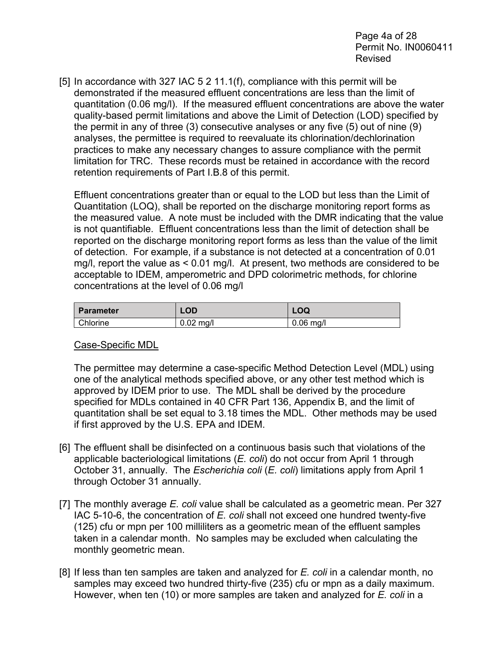[5] In accordance with 327 IAC 5 2 11.1(f), compliance with this permit will be demonstrated if the measured effluent concentrations are less than the limit of quantitation (0.06 mg/l). If the measured effluent concentrations are above the water quality-based permit limitations and above the Limit of Detection (LOD) specified by the permit in any of three (3) consecutive analyses or any five (5) out of nine (9) analyses, the permittee is required to reevaluate its chlorination/dechlorination practices to make any necessary changes to assure compliance with the permit limitation for TRC. These records must be retained in accordance with the record retention requirements of Part I.B.8 of this permit.

Effluent concentrations greater than or equal to the LOD but less than the Limit of Quantitation (LOQ), shall be reported on the discharge monitoring report forms as the measured value. A note must be included with the DMR indicating that the value is not quantifiable. Effluent concentrations less than the limit of detection shall be reported on the discharge monitoring report forms as less than the value of the limit of detection. For example, if a substance is not detected at a concentration of 0.01 mg/l, report the value as < 0.01 mg/l. At present, two methods are considered to be acceptable to IDEM, amperometric and DPD colorimetric methods, for chlorine concentrations at the level of 0.06 mg/l

| Parameter | LOD         | LOQ         |
|-----------|-------------|-------------|
| Chlorine  | $0.02$ mg/l | $0.06$ mg/l |

### Case-Specific MDL

The permittee may determine a case-specific Method Detection Level (MDL) using one of the analytical methods specified above, or any other test method which is approved by IDEM prior to use. The MDL shall be derived by the procedure specified for MDLs contained in 40 CFR Part 136, Appendix B, and the limit of quantitation shall be set equal to 3.18 times the MDL. Other methods may be used if first approved by the U.S. EPA and IDEM.

- [6] The effluent shall be disinfected on a continuous basis such that violations of the applicable bacteriological limitations (*E. coli*) do not occur from April 1 through October 31, annually. The *Escherichia coli* (*E. coli*) limitations apply from April 1 through October 31 annually.
- [7] The monthly average *E. coli* value shall be calculated as a geometric mean. Per 327 IAC 5-10-6, the concentration of *E. coli* shall not exceed one hundred twenty-five (125) cfu or mpn per 100 milliliters as a geometric mean of the effluent samples taken in a calendar month. No samples may be excluded when calculating the monthly geometric mean.
- [8] If less than ten samples are taken and analyzed for *E. coli* in a calendar month, no samples may exceed two hundred thirty-five (235) cfu or mpn as a daily maximum. However, when ten (10) or more samples are taken and analyzed for *E. coli* in a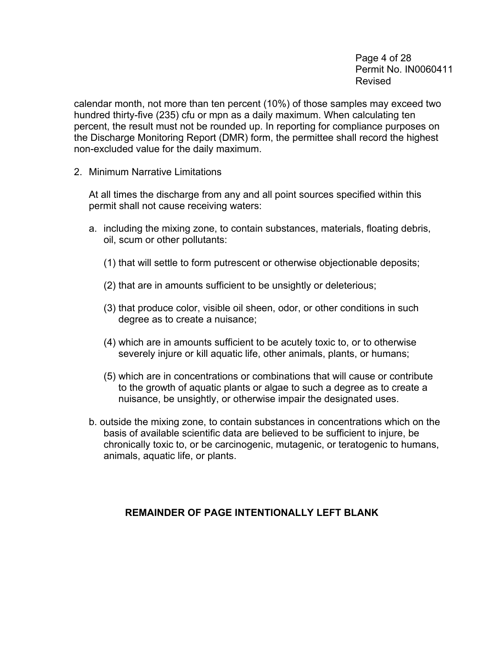Page 4 of 28 Permit No. IN0060411 Revised

calendar month, not more than ten percent (10%) of those samples may exceed two hundred thirty-five (235) cfu or mpn as a daily maximum. When calculating ten percent, the result must not be rounded up. In reporting for compliance purposes on the Discharge Monitoring Report (DMR) form, the permittee shall record the highest non-excluded value for the daily maximum.

2. Minimum Narrative Limitations

At all times the discharge from any and all point sources specified within this permit shall not cause receiving waters:

- a. including the mixing zone, to contain substances, materials, floating debris, oil, scum or other pollutants:
	- (1) that will settle to form putrescent or otherwise objectionable deposits;
	- (2) that are in amounts sufficient to be unsightly or deleterious;
	- (3) that produce color, visible oil sheen, odor, or other conditions in such degree as to create a nuisance;
	- (4) which are in amounts sufficient to be acutely toxic to, or to otherwise severely injure or kill aquatic life, other animals, plants, or humans;
	- (5) which are in concentrations or combinations that will cause or contribute to the growth of aquatic plants or algae to such a degree as to create a nuisance, be unsightly, or otherwise impair the designated uses.
- b. outside the mixing zone, to contain substances in concentrations which on the basis of available scientific data are believed to be sufficient to injure, be chronically toxic to, or be carcinogenic, mutagenic, or teratogenic to humans, animals, aquatic life, or plants.

# **REMAINDER OF PAGE INTENTIONALLY LEFT BLANK**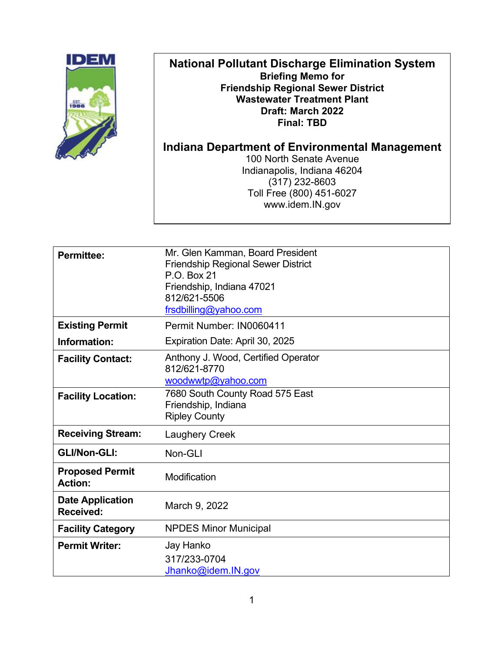| <b>National Pollutant Discharge Elimination System</b><br><b>Briefing Memo for</b><br><b>Friendship Regional Sewer District</b><br><b>Wastewater Treatment Plant</b><br>Draft: March 2022<br><b>Final: TBD</b> |
|----------------------------------------------------------------------------------------------------------------------------------------------------------------------------------------------------------------|
| Indiana Department of Environmental Management                                                                                                                                                                 |
| 100 North Senate Avenue                                                                                                                                                                                        |
| Indianapolis, Indiana 46204                                                                                                                                                                                    |
| (317) 232-8603                                                                                                                                                                                                 |
| Toll Free (800) 451-6027                                                                                                                                                                                       |
| www.idem.IN.gov                                                                                                                                                                                                |
|                                                                                                                                                                                                                |

| <b>Permittee:</b>                        | Mr. Glen Kamman, Board President<br><b>Friendship Regional Sewer District</b><br>P.O. Box 21<br>Friendship, Indiana 47021<br>812/621-5506<br>frsdbilling@yahoo.com |
|------------------------------------------|--------------------------------------------------------------------------------------------------------------------------------------------------------------------|
| <b>Existing Permit</b>                   | Permit Number: IN0060411                                                                                                                                           |
| Information:                             | Expiration Date: April 30, 2025                                                                                                                                    |
| <b>Facility Contact:</b>                 | Anthony J. Wood, Certified Operator<br>812/621-8770<br>woodwwtp@yahoo.com                                                                                          |
| <b>Facility Location:</b>                | 7680 South County Road 575 East<br>Friendship, Indiana<br><b>Ripley County</b>                                                                                     |
| <b>Receiving Stream:</b>                 | <b>Laughery Creek</b>                                                                                                                                              |
| <b>GLI/Non-GLI:</b>                      | Non-GLI                                                                                                                                                            |
| <b>Proposed Permit</b><br><b>Action:</b> | Modification                                                                                                                                                       |
| <b>Date Application</b><br>Received:     | March 9, 2022                                                                                                                                                      |
| <b>Facility Category</b>                 | <b>NPDES Minor Municipal</b>                                                                                                                                       |
| <b>Permit Writer:</b>                    | Jay Hanko<br>317/233-0704<br>Jhanko@idem.IN.gov                                                                                                                    |